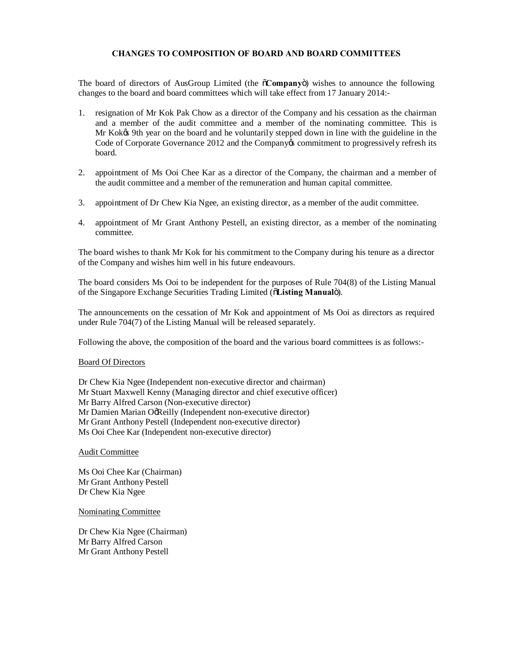## **CHANGES TO COMPOSITION OF BOARD AND BOARD COMMITTEES**

The board of directors of AusGroup Limited (the  $\tilde{o}$ Company<sub>"</sub>) wishes to announce the following changes to the board and board committees which will take effect from 17 January 2014:-

- 1. resignation of Mr Kok Pak Chow as a director of the Company and his cessation as the chairman and a member of the audit committee and a member of the nominating committee. This is Mr Kok $\alpha$  9th year on the board and he voluntarily stepped down in line with the guideline in the Code of Corporate Governance 2012 and the Company os commitment to progressively refresh its board.
- 2. appointment of Ms Ooi Chee Kar as a director of the Company, the chairman and a member of the audit committee and a member of the remuneration and human capital committee.
- 3. appointment of Dr Chew Kia Ngee, an existing director, as a member of the audit committee.
- 4. appointment of Mr Grant Anthony Pestell, an existing director, as a member of the nominating committee.

The board wishes to thank Mr Kok for his commitment to the Company during his tenure as a director of the Company and wishes him well in his future endeavours.

The board considers Ms Ooi to be independent for the purposes of Rule 704(8) of the Listing Manual of the Singapore Exchange Securities Trading Limited ( $\delta$ **Listing Manual** $\ddot{\theta}$ ).

The announcements on the cessation of Mr Kok and appointment of Ms Ooi as directors as required under Rule 704(7) of the Listing Manual will be released separately.

Following the above, the composition of the board and the various board committees is as follows:-

## Board Of Directors

Dr Chew Kia Ngee (Independent non-executive director and chairman) Mr Stuart Maxwell Kenny (Managing director and chief executive officer) Mr Barry Alfred Carson (Non-executive director) Mr Damien Marian OgReilly (Independent non-executive director) Mr Grant Anthony Pestell (Independent non-executive director) Ms Ooi Chee Kar (Independent non-executive director)

Audit Committee

Ms Ooi Chee Kar (Chairman) Mr Grant Anthony Pestell Dr Chew Kia Ngee

Nominating Committee

Dr Chew Kia Ngee (Chairman) Mr Barry Alfred Carson Mr Grant Anthony Pestell